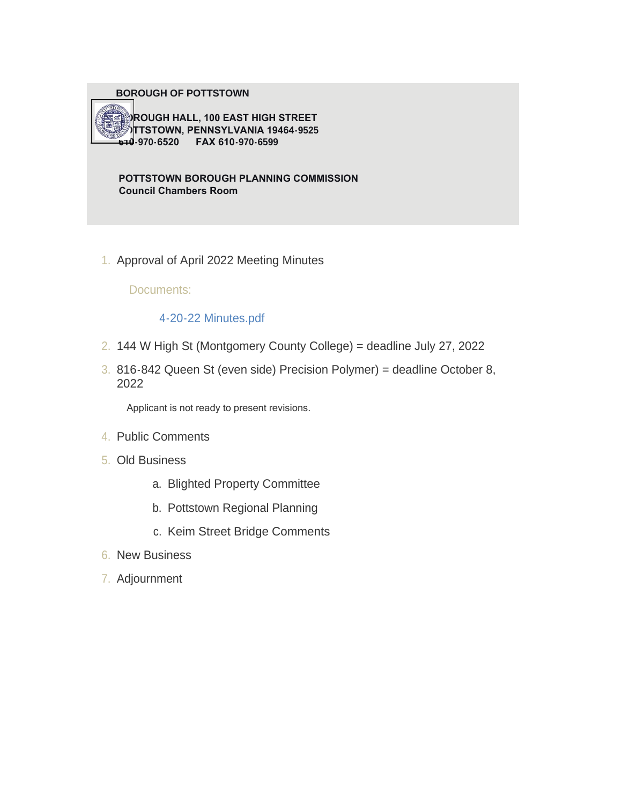#### **BOROUGH OF POTTSTOWN**

**ROUGH HALL, 100 EAST HIGH STREET** <mark>≫)</mark>ΙΤΤSΤOWN, PENNSYLVANIA 19464-9525<br><del>610</del>-970-6520 FAX 610-970-6599  **610-970-6520 FAX 610-970-6599**

 **POTTSTOWN BOROUGH PLANNING COMMISSION Council Chambers Room**

1. Approval of April 2022 Meeting Minutes

#### Documents:

## 4-20-22 Minutes.pdf

- 2. 144 W High St (Montgomery County College) = deadline July 27, 2022
- 816-842 Queen St (even side) Precision Polymer) = deadline October 8, 3. 2022

Applicant is not ready to present revisions.

- 4. Public Comments
- Old Business 5.
	- a. Blighted Property Committee
	- b. Pottstown Regional Planning
	- c. Keim Street Bridge Comments
- 6. New Business
- 7. Adjournment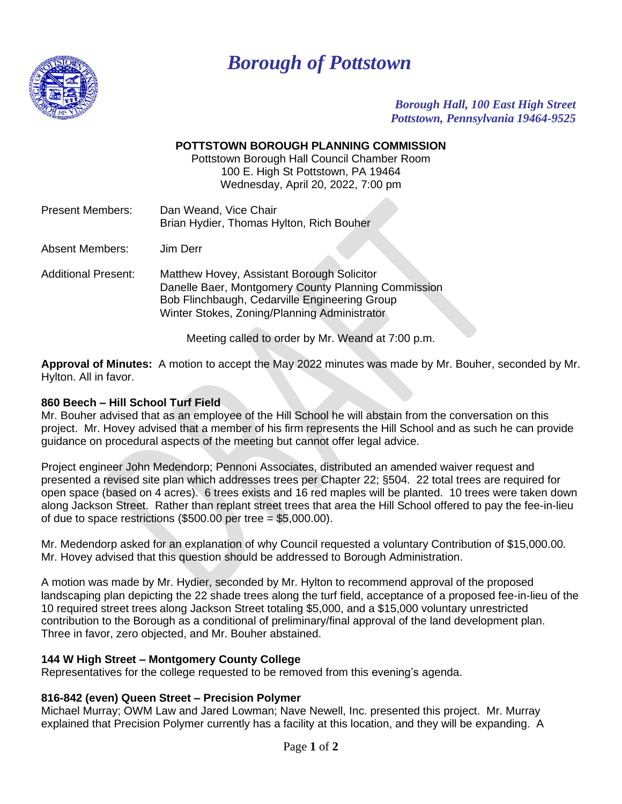

# *Borough of Pottstown*

### *Borough Hall, 100 East High Street Pottstown, Pennsylvania 19464-9525*

## **POTTSTOWN BOROUGH PLANNING COMMISSION**

Pottstown Borough Hall Council Chamber Room 100 E. High St Pottstown, PA 19464 Wednesday, April 20, 2022, 7:00 pm

| Present Members: | Dan Weand, Vice Chair                    |
|------------------|------------------------------------------|
|                  | Brian Hydier, Thomas Hylton, Rich Bouher |

Absent Members: Jim Derr

Additional Present: Matthew Hovey, Assistant Borough Solicitor Danelle Baer, Montgomery County Planning Commission Bob Flinchbaugh, Cedarville Engineering Group Winter Stokes, Zoning/Planning Administrator

Meeting called to order by Mr. Weand at 7:00 p.m.

**Approval of Minutes:** A motion to accept the May 2022 minutes was made by Mr. Bouher, seconded by Mr. Hylton. All in favor.

#### **860 Beech – Hill School Turf Field**

Mr. Bouher advised that as an employee of the Hill School he will abstain from the conversation on this project. Mr. Hovey advised that a member of his firm represents the Hill School and as such he can provide guidance on procedural aspects of the meeting but cannot offer legal advice.

Project engineer John Medendorp; Pennoni Associates, distributed an amended waiver request and presented a revised site plan which addresses trees per Chapter 22; §504. 22 total trees are required for open space (based on 4 acres). 6 trees exists and 16 red maples will be planted. 10 trees were taken down along Jackson Street. Rather than replant street trees that area the Hill School offered to pay the fee-in-lieu of due to space restrictions  $(\$500.00$  per tree =  $\$5,000.00$ ).

Mr. Medendorp asked for an explanation of why Council requested a voluntary Contribution of \$15,000.00. Mr. Hovey advised that this question should be addressed to Borough Administration.

A motion was made by Mr. Hydier, seconded by Mr. Hylton to recommend approval of the proposed landscaping plan depicting the 22 shade trees along the turf field, acceptance of a proposed fee-in-lieu of the 10 required street trees along Jackson Street totaling \$5,000, and a \$15,000 voluntary unrestricted contribution to the Borough as a conditional of preliminary/final approval of the land development plan. Three in favor, zero objected, and Mr. Bouher abstained.

#### **144 W High Street – Montgomery County College**

Representatives for the college requested to be removed from this evening's agenda.

#### **816-842 (even) Queen Street – Precision Polymer**

Michael Murray; OWM Law and Jared Lowman; Nave Newell, Inc. presented this project. Mr. Murray explained that Precision Polymer currently has a facility at this location, and they will be expanding. A